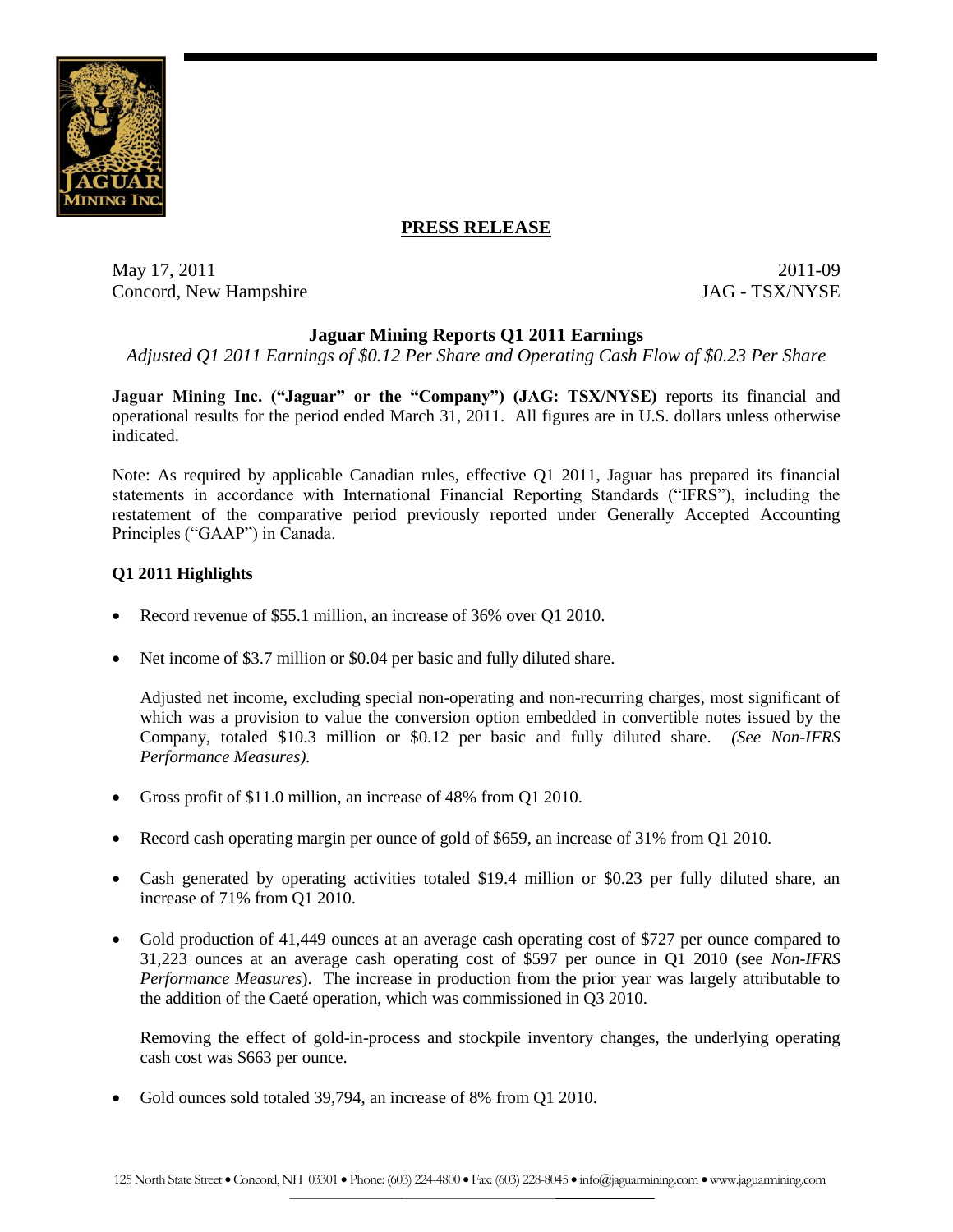

# **PRESS RELEASE**

May 17, 2011 2011-09 Concord, New Hampshire JAG - TSX/NYSE

# **Jaguar Mining Reports Q1 2011 Earnings**

*Adjusted Q1 2011 Earnings of \$0.12 Per Share and Operating Cash Flow of \$0.23 Per Share*

**Jaguar Mining Inc. ("Jaguar" or the "Company") (JAG: TSX/NYSE)** reports its financial and operational results for the period ended March 31, 2011. All figures are in U.S. dollars unless otherwise indicated.

Note: As required by applicable Canadian rules, effective Q1 2011, Jaguar has prepared its financial statements in accordance with International Financial Reporting Standards ("IFRS"), including the restatement of the comparative period previously reported under Generally Accepted Accounting Principles ("GAAP") in Canada.

# **Q1 2011 Highlights**

- Record revenue of \$55.1 million, an increase of 36% over Q1 2010.
- Net income of \$3.7 million or \$0.04 per basic and fully diluted share.

Adjusted net income, excluding special non-operating and non-recurring charges, most significant of which was a provision to value the conversion option embedded in convertible notes issued by the Company, totaled \$10.3 million or \$0.12 per basic and fully diluted share. *(See Non-IFRS Performance Measures).*

- Gross profit of \$11.0 million, an increase of 48% from Q1 2010.
- Record cash operating margin per ounce of gold of \$659, an increase of 31% from Q1 2010.
- Cash generated by operating activities totaled \$19.4 million or \$0.23 per fully diluted share, an increase of 71% from Q1 2010.
- Gold production of 41,449 ounces at an average cash operating cost of \$727 per ounce compared to 31,223 ounces at an average cash operating cost of \$597 per ounce in Q1 2010 (see *Non-IFRS Performance Measures*). The increase in production from the prior year was largely attributable to the addition of the Caeté operation, which was commissioned in Q3 2010.

Removing the effect of gold-in-process and stockpile inventory changes, the underlying operating cash cost was \$663 per ounce.

Gold ounces sold totaled 39,794, an increase of 8% from Q1 2010.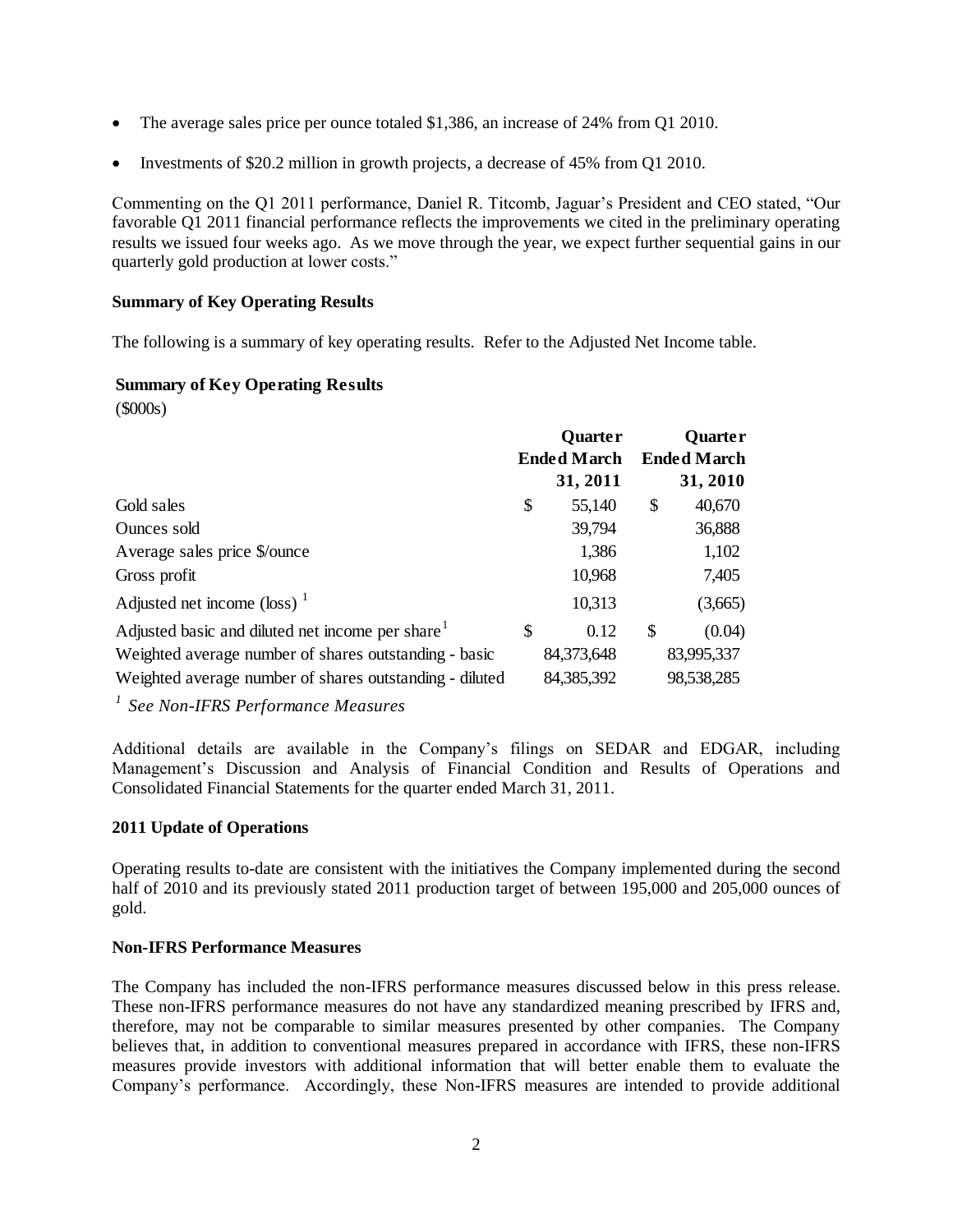- The average sales price per ounce totaled \$1,386, an increase of 24% from Q1 2010.
- Investments of \$20.2 million in growth projects, a decrease of 45% from Q1 2010.

Commenting on the Q1 2011 performance, Daniel R. Titcomb, Jaguar's President and CEO stated, "Our favorable Q1 2011 financial performance reflects the improvements we cited in the preliminary operating results we issued four weeks ago. As we move through the year, we expect further sequential gains in our quarterly gold production at lower costs."

## **Summary of Key Operating Results**

The following is a summary of key operating results. Refer to the Adjusted Net Income table.

## **Summary of Key Operating Results**

(\$000s)

|                                                                                                                  | <b>Quarter</b><br><b>Ended March</b> |    | <b>Quarter</b><br><b>Ended March</b> |
|------------------------------------------------------------------------------------------------------------------|--------------------------------------|----|--------------------------------------|
|                                                                                                                  | 31, 2011                             |    | 31, 2010                             |
| Gold sales                                                                                                       | \$<br>55,140                         | \$ | 40,670                               |
| Ounces sold                                                                                                      | 39,794                               |    | 36,888                               |
| Average sales price \$/ounce                                                                                     | 1,386                                |    | 1,102                                |
| Gross profit                                                                                                     | 10,968                               |    | 7,405                                |
| Adjusted net income $(\text{loss})$ <sup>1</sup>                                                                 | 10,313                               |    | (3,665)                              |
| Adjusted basic and diluted net income per share                                                                  | \$<br>0.12                           | \$ | (0.04)                               |
| Weighted average number of shares outstanding - basic<br>Weighted average number of shares outstanding - diluted | 84,373,648<br>84,385,392             |    | 83,995,337<br>98,538,285             |

*1 See Non-IFRS Performance Measures*

Additional details are available in the Company's filings on SEDAR and EDGAR, including Management's Discussion and Analysis of Financial Condition and Results of Operations and Consolidated Financial Statements for the quarter ended March 31, 2011.

### **2011 Update of Operations**

Operating results to-date are consistent with the initiatives the Company implemented during the second half of 2010 and its previously stated 2011 production target of between 195,000 and 205,000 ounces of gold.

### **Non-IFRS Performance Measures**

The Company has included the non-IFRS performance measures discussed below in this press release. These non-IFRS performance measures do not have any standardized meaning prescribed by IFRS and, therefore, may not be comparable to similar measures presented by other companies. The Company believes that, in addition to conventional measures prepared in accordance with IFRS, these non-IFRS measures provide investors with additional information that will better enable them to evaluate the Company's performance. Accordingly, these Non-IFRS measures are intended to provide additional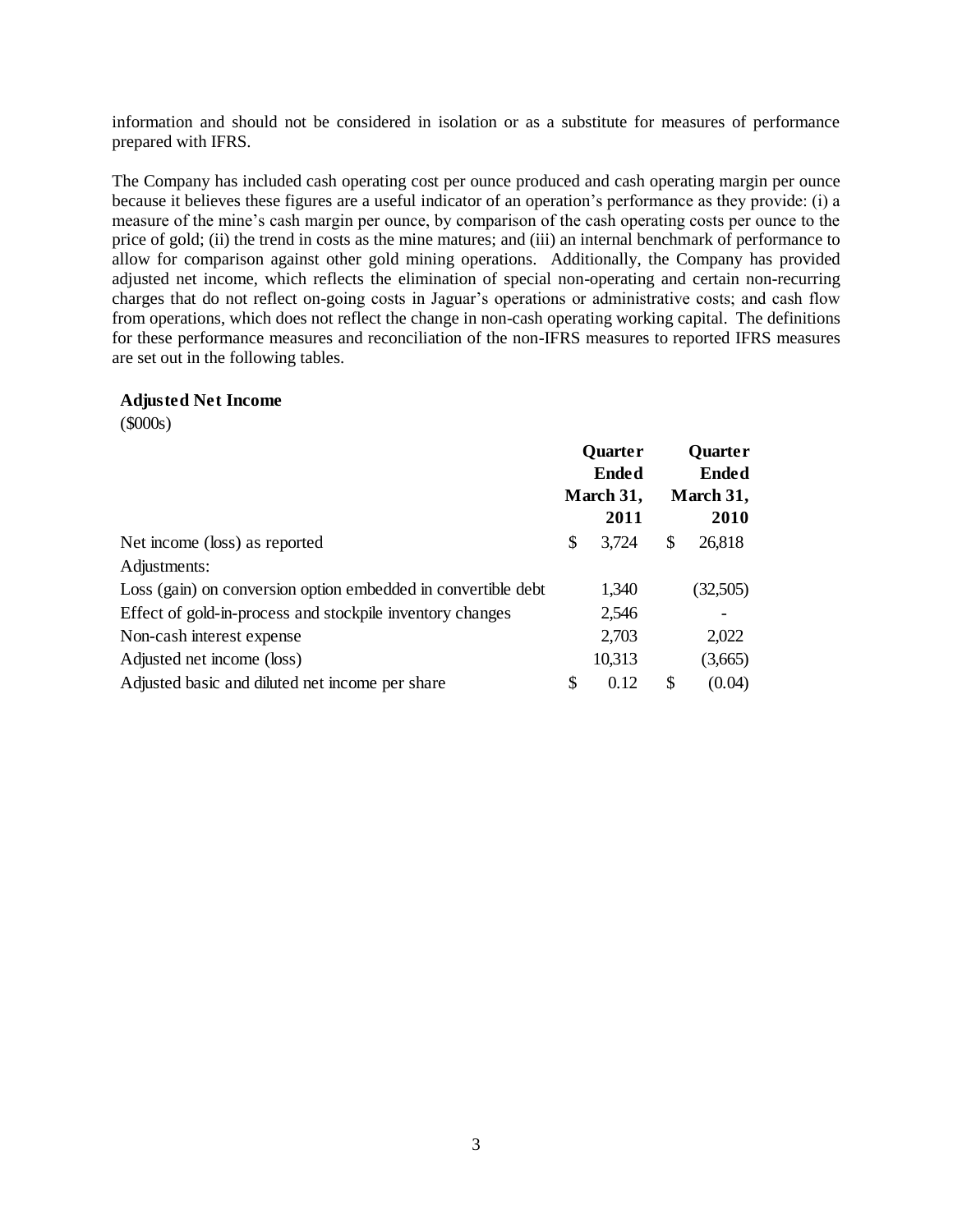information and should not be considered in isolation or as a substitute for measures of performance prepared with IFRS.

The Company has included cash operating cost per ounce produced and cash operating margin per ounce because it believes these figures are a useful indicator of an operation's performance as they provide: (i) a measure of the mine's cash margin per ounce, by comparison of the cash operating costs per ounce to the price of gold; (ii) the trend in costs as the mine matures; and (iii) an internal benchmark of performance to allow for comparison against other gold mining operations. Additionally, the Company has provided adjusted net income, which reflects the elimination of special non-operating and certain non-recurring charges that do not reflect on-going costs in Jaguar's operations or administrative costs; and cash flow from operations, which does not reflect the change in non-cash operating working capital. The definitions for these performance measures and reconciliation of the non-IFRS measures to reported IFRS measures are set out in the following tables.

### **Adjusted Net Income**

(\$000s)

|                                                               | <b>Quarter</b><br><b>Ended</b> |                   | <b>Quarter</b><br><b>Ended</b> |                   |
|---------------------------------------------------------------|--------------------------------|-------------------|--------------------------------|-------------------|
|                                                               |                                | March 31,<br>2011 |                                | March 31,<br>2010 |
| Net income (loss) as reported                                 | \$                             | 3,724             | S                              | 26,818            |
| Adjustments:                                                  |                                |                   |                                |                   |
| Loss (gain) on conversion option embedded in convertible debt |                                | 1,340             |                                | (32,505)          |
| Effect of gold-in-process and stockpile inventory changes     |                                | 2,546             |                                |                   |
| Non-cash interest expense                                     |                                | 2,703             |                                | 2,022             |
| Adjusted net income (loss)                                    |                                | 10,313            |                                | (3,665)           |
| Adjusted basic and diluted net income per share               | \$                             | 0.12              | \$                             | (0.04)            |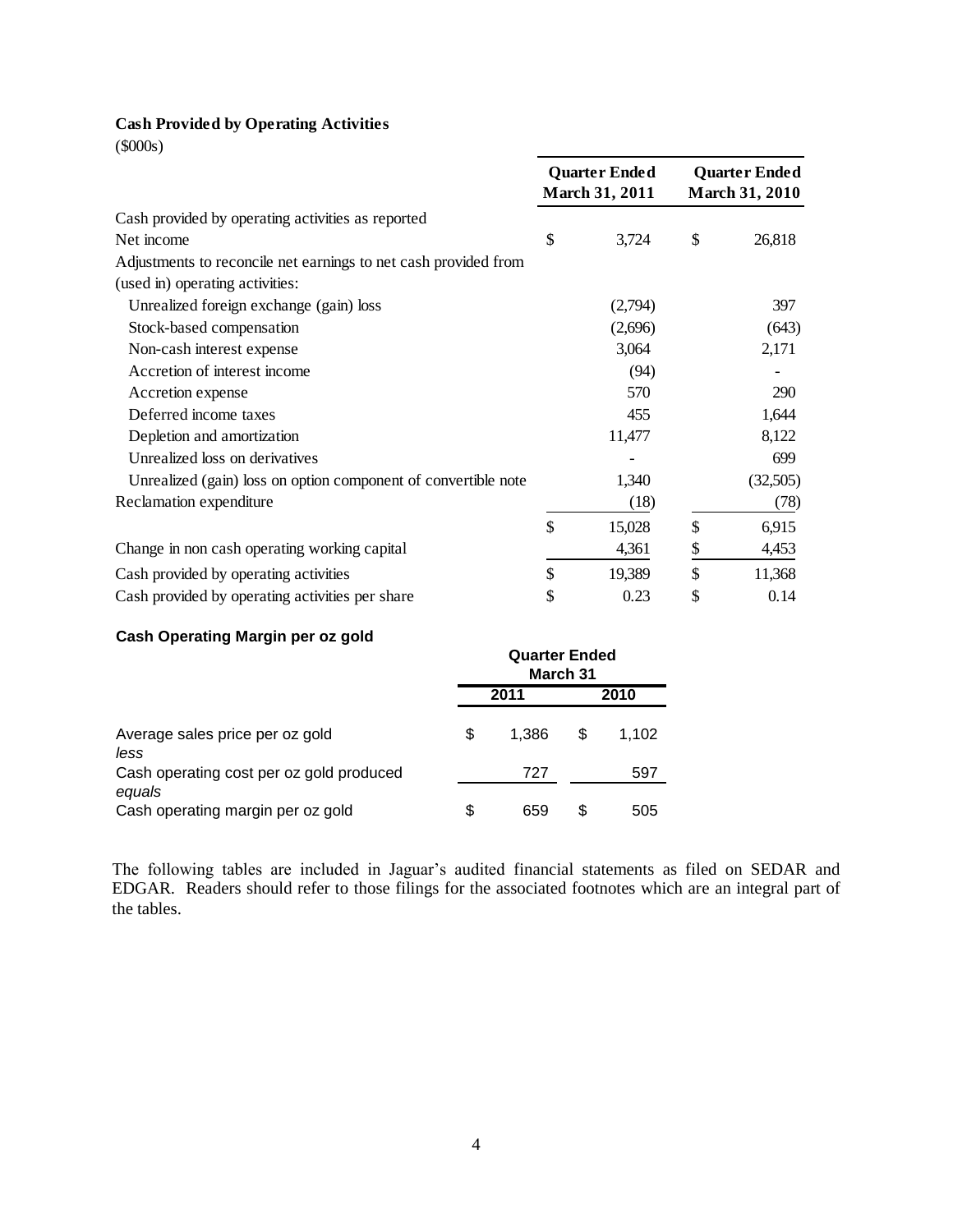## **Cash Provided by Operating Activities**

(\$000s)

|                                                                 | <b>Quarter Ended</b><br><b>March 31, 2011</b> | <b>Quarter Ended</b><br><b>March 31, 2010</b> |
|-----------------------------------------------------------------|-----------------------------------------------|-----------------------------------------------|
| Cash provided by operating activities as reported               |                                               |                                               |
| Net income                                                      | \$<br>3,724                                   | \$<br>26,818                                  |
| Adjustments to reconcile net earnings to net cash provided from |                                               |                                               |
| (used in) operating activities:                                 |                                               |                                               |
| Unrealized foreign exchange (gain) loss                         | (2,794)                                       | 397                                           |
| Stock-based compensation                                        | (2,696)                                       | (643)                                         |
| Non-cash interest expense                                       | 3,064                                         | 2,171                                         |
| Accretion of interest income                                    | (94)                                          |                                               |
| Accretion expense                                               | 570                                           | 290                                           |
| Deferred income taxes                                           | 455                                           | 1,644                                         |
| Depletion and amortization                                      | 11,477                                        | 8,122                                         |
| Unrealized loss on derivatives                                  |                                               | 699                                           |
| Unrealized (gain) loss on option component of convertible note  | 1,340                                         | (32,505)                                      |
| Reclamation expenditure                                         | (18)                                          | (78)                                          |
|                                                                 | \$<br>15,028                                  | \$<br>6,915                                   |
| Change in non cash operating working capital                    | 4,361                                         | \$<br>4,453                                   |
| Cash provided by operating activities                           | \$<br>19,389                                  | \$<br>11,368                                  |
| Cash provided by operating activities per share                 | \$<br>0.23                                    | \$<br>0.14                                    |

# **Cash Operating Margin per oz gold**

| <u>sasu specamg margunper so gera</u>       | <b>Quarter Ended</b><br>March 31 |       |    |       |
|---------------------------------------------|----------------------------------|-------|----|-------|
|                                             |                                  | 2011  |    | 2010  |
| Average sales price per oz gold<br>less     | \$                               | 1.386 | S  | 1.102 |
| Cash operating cost per oz gold produced    |                                  | 727   |    | 597   |
| equals<br>Cash operating margin per oz gold | S                                | 659   | S. | 505   |

The following tables are included in Jaguar's audited financial statements as filed on SEDAR and EDGAR. Readers should refer to those filings for the associated footnotes which are an integral part of the tables.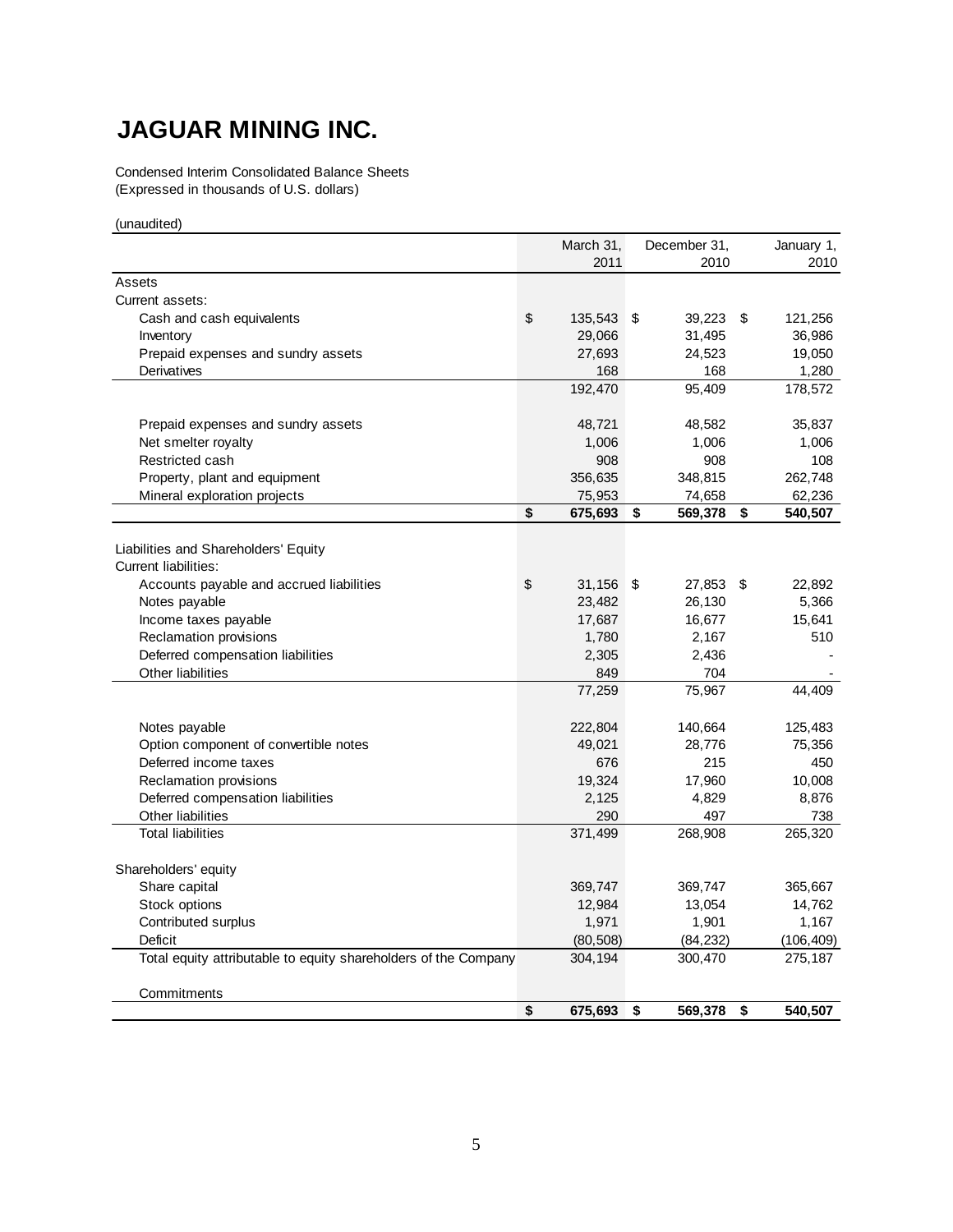# **JAGUAR MINING INC.**

Condensed Interim Consolidated Balance Sheets (Expressed in thousands of U.S. dollars)

(unaudited)

|                                                                 | March 31, |           |    | December 31, |    | January 1, |
|-----------------------------------------------------------------|-----------|-----------|----|--------------|----|------------|
|                                                                 |           | 2011      |    | 2010         |    | 2010       |
| Assets                                                          |           |           |    |              |    |            |
| Current assets:                                                 |           |           |    |              |    |            |
| Cash and cash equivalents                                       | \$        | 135,543   | \$ | 39,223       | S  | 121,256    |
| Inventory                                                       |           | 29,066    |    | 31,495       |    | 36,986     |
| Prepaid expenses and sundry assets                              |           | 27,693    |    | 24,523       |    | 19,050     |
| Derivatives                                                     |           | 168       |    | 168          |    | 1,280      |
|                                                                 |           | 192,470   |    | 95,409       |    | 178,572    |
| Prepaid expenses and sundry assets                              |           | 48,721    |    | 48,582       |    | 35,837     |
| Net smelter royalty                                             |           | 1,006     |    | 1,006        |    | 1,006      |
| Restricted cash                                                 |           | 908       |    | 908          |    | 108        |
| Property, plant and equipment                                   |           | 356,635   |    | 348,815      |    | 262,748    |
| Mineral exploration projects                                    |           | 75,953    |    | 74,658       |    | 62,236     |
|                                                                 | \$        | 675,693   | \$ | 569,378      | \$ | 540,507    |
|                                                                 |           |           |    |              |    |            |
| Liabilities and Shareholders' Equity                            |           |           |    |              |    |            |
| Current liabilities:                                            |           |           |    |              |    |            |
| Accounts payable and accrued liabilities                        | \$        | 31,156 \$ |    | 27,853 \$    |    | 22,892     |
| Notes payable                                                   |           | 23,482    |    | 26,130       |    | 5,366      |
| Income taxes payable                                            |           | 17,687    |    | 16,677       |    | 15,641     |
| Reclamation provisions                                          |           | 1,780     |    | 2,167        |    | 510        |
| Deferred compensation liabilities                               |           | 2,305     |    | 2,436        |    |            |
| Other liabilities                                               |           | 849       |    | 704          |    |            |
|                                                                 |           | 77,259    |    | 75,967       |    | 44,409     |
| Notes payable                                                   |           | 222,804   |    | 140,664      |    | 125,483    |
| Option component of convertible notes                           |           | 49,021    |    | 28,776       |    | 75,356     |
| Deferred income taxes                                           |           | 676       |    | 215          |    | 450        |
| Reclamation provisions                                          |           | 19,324    |    | 17,960       |    | 10,008     |
| Deferred compensation liabilities                               |           | 2,125     |    | 4,829        |    | 8,876      |
| Other liabilities                                               |           | 290       |    | 497          |    | 738        |
| <b>Total liabilities</b>                                        |           | 371,499   |    | 268,908      |    | 265,320    |
| Shareholders' equity                                            |           |           |    |              |    |            |
| Share capital                                                   |           | 369,747   |    | 369,747      |    | 365,667    |
| Stock options                                                   |           | 12,984    |    | 13,054       |    | 14,762     |
| Contributed surplus                                             |           | 1,971     |    | 1,901        |    | 1,167      |
| Deficit                                                         |           | (80, 508) |    | (84, 232)    |    | (106, 409) |
| Total equity attributable to equity shareholders of the Company |           | 304,194   |    | 300,470      |    | 275,187    |
|                                                                 |           |           |    |              |    |            |
| Commitments                                                     |           |           |    |              |    |            |
|                                                                 | \$        | 675,693   | \$ | 569,378      | \$ | 540,507    |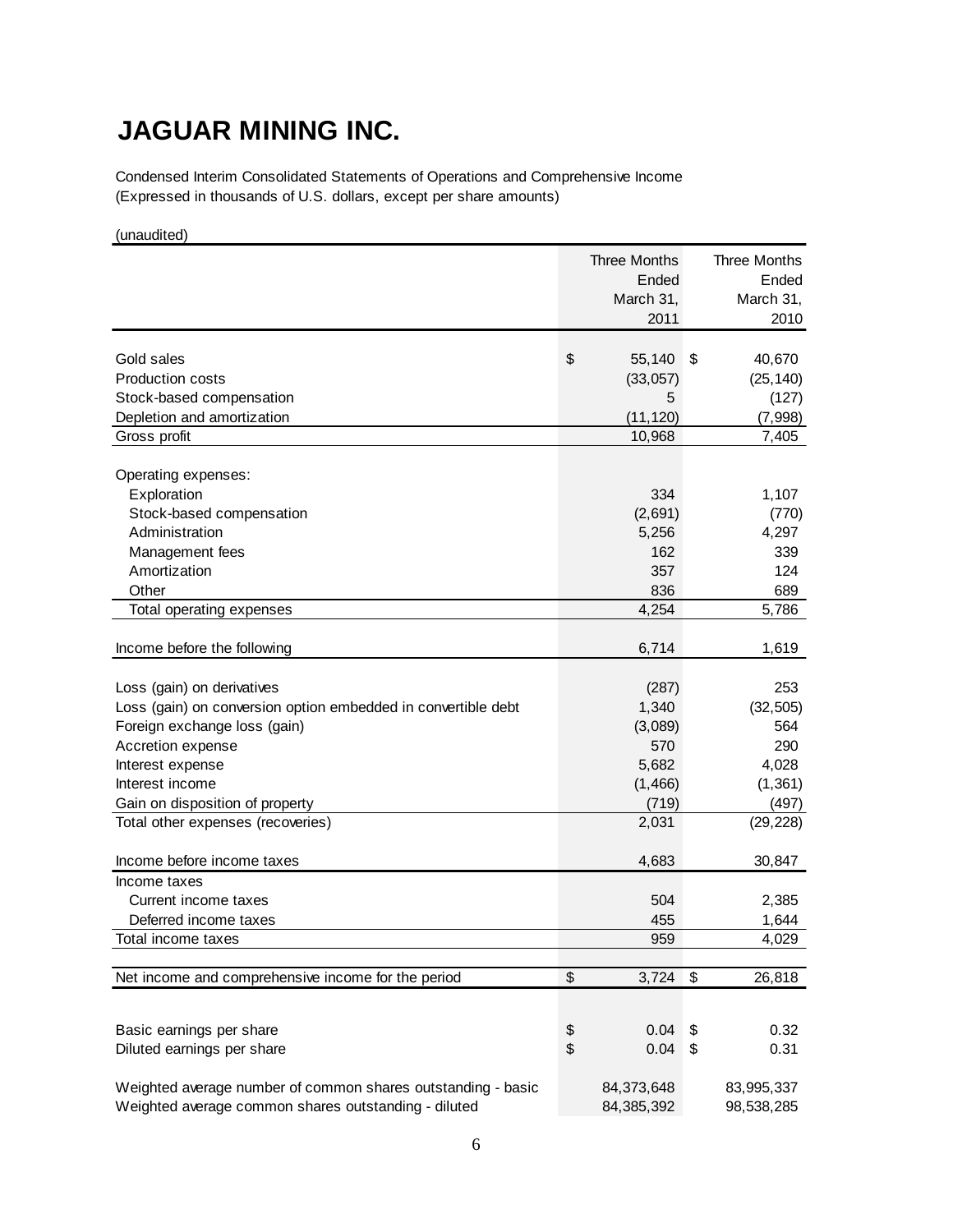# **JAGUAR MINING INC.**

Condensed Interim Consolidated Statements of Operations and Comprehensive Income (Expressed in thousands of U.S. dollars, except per share amounts)

(unaudited)

|                                                               | <b>Three Months</b> | <b>Three Months</b> |
|---------------------------------------------------------------|---------------------|---------------------|
|                                                               | Ended               | Ended               |
|                                                               | March 31,           | March 31,           |
|                                                               | 2011                | 2010                |
|                                                               |                     |                     |
| Gold sales                                                    | \$<br>55,140        | \$<br>40,670        |
| <b>Production costs</b>                                       | (33,057)            | (25, 140)           |
| Stock-based compensation                                      | 5                   | (127)               |
| Depletion and amortization                                    | (11, 120)           | (7,998)             |
| Gross profit                                                  | 10,968              | 7,405               |
| Operating expenses:                                           |                     |                     |
| Exploration                                                   | 334                 | 1,107               |
| Stock-based compensation                                      | (2,691)             | (770)               |
| Administration                                                | 5,256               | 4,297               |
| Management fees                                               | 162                 | 339                 |
| Amortization                                                  | 357                 | 124                 |
| Other                                                         | 836                 | 689                 |
| Total operating expenses                                      | 4,254               | 5,786               |
|                                                               |                     |                     |
| Income before the following                                   | 6,714               | 1,619               |
|                                                               |                     |                     |
| Loss (gain) on derivatives                                    | (287)               | 253                 |
| Loss (gain) on conversion option embedded in convertible debt | 1,340               | (32, 505)           |
| Foreign exchange loss (gain)                                  | (3,089)             | 564                 |
| Accretion expense                                             | 570                 | 290                 |
| Interest expense                                              | 5,682               | 4,028               |
| Interest income                                               | (1, 466)            | (1, 361)            |
| Gain on disposition of property                               | (719)               | (497)               |
| Total other expenses (recoveries)                             | 2,031               | (29, 228)           |
| Income before income taxes                                    | 4,683               | 30,847              |
| Income taxes                                                  |                     |                     |
| Current income taxes                                          | 504                 | 2,385               |
| Deferred income taxes                                         | 455                 | 1,644               |
| Total income taxes                                            | 959                 | 4,029               |
|                                                               |                     |                     |
| Net income and comprehensive income for the period            | \$<br>3,724         | \$<br>26,818        |
|                                                               |                     |                     |
| Basic earnings per share                                      | \$<br>0.04          | \$<br>0.32          |
| Diluted earnings per share                                    | \$<br>0.04          | \$<br>0.31          |
|                                                               |                     |                     |
| Weighted average number of common shares outstanding - basic  | 84,373,648          | 83,995,337          |
| Weighted average common shares outstanding - diluted          | 84,385,392          | 98,538,285          |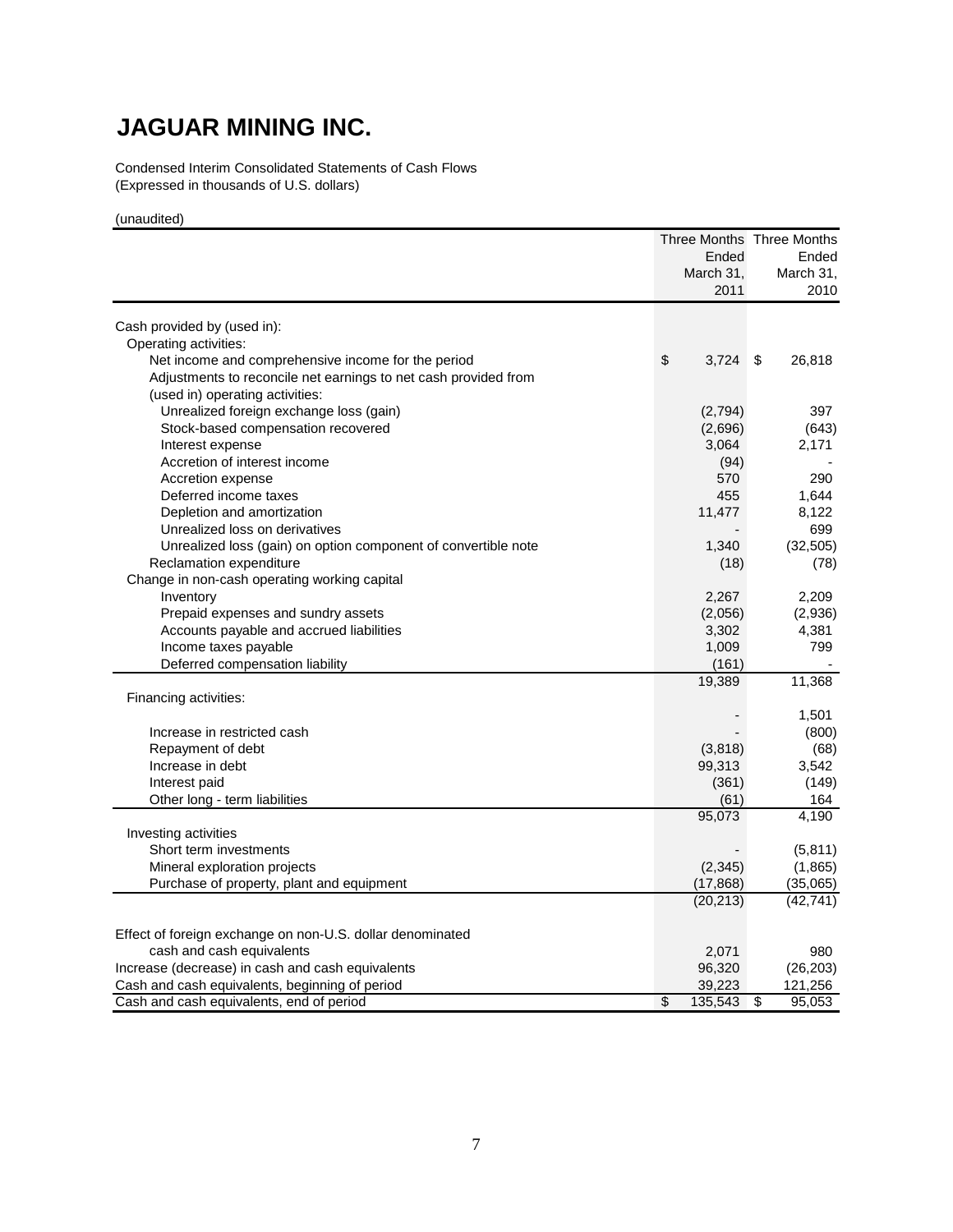# **JAGUAR MINING INC.**

Condensed Interim Consolidated Statements of Cash Flows (Expressed in thousands of U.S. dollars)

(unaudited)

|                                                                 |               | Three Months Three Months |
|-----------------------------------------------------------------|---------------|---------------------------|
|                                                                 | Ended         | Ended                     |
|                                                                 | March 31,     | March 31,                 |
|                                                                 | 2011          | 2010                      |
|                                                                 |               |                           |
| Cash provided by (used in):                                     |               |                           |
| Operating activities:                                           |               |                           |
| Net income and comprehensive income for the period              | \$<br>3,724   | - \$<br>26,818            |
| Adjustments to reconcile net earnings to net cash provided from |               |                           |
| (used in) operating activities:                                 |               |                           |
| Unrealized foreign exchange loss (gain)                         | (2,794)       | 397                       |
| Stock-based compensation recovered                              | (2,696)       | (643)                     |
| Interest expense                                                | 3,064         | 2,171                     |
| Accretion of interest income                                    | (94)          |                           |
| Accretion expense                                               | 570           | 290                       |
| Deferred income taxes                                           | 455           | 1,644                     |
| Depletion and amortization                                      | 11,477        | 8,122                     |
| Unrealized loss on derivatives                                  |               | 699                       |
| Unrealized loss (gain) on option component of convertible note  | 1,340         | (32, 505)                 |
| Reclamation expenditure                                         | (18)          | (78)                      |
| Change in non-cash operating working capital                    |               |                           |
| Inventory                                                       | 2,267         | 2,209                     |
| Prepaid expenses and sundry assets                              | (2,056)       | (2,936)                   |
| Accounts payable and accrued liabilities                        | 3,302         | 4,381                     |
| Income taxes payable                                            | 1,009         | 799                       |
| Deferred compensation liability                                 | (161)         |                           |
|                                                                 | 19,389        | 11,368                    |
| Financing activities:                                           |               | 1,501                     |
| Increase in restricted cash                                     |               | (800)                     |
| Repayment of debt                                               | (3,818)       | (68)                      |
| Increase in debt                                                | 99,313        | 3,542                     |
| Interest paid                                                   | (361)         | (149)                     |
| Other long - term liabilities                                   | (61)          | 164                       |
|                                                                 | 95,073        | 4,190                     |
| Investing activities                                            |               |                           |
| Short term investments                                          |               | (5, 811)                  |
| Mineral exploration projects                                    | (2, 345)      | (1,865)                   |
| Purchase of property, plant and equipment                       | (17, 868)     | (35,065)                  |
|                                                                 | (20, 213)     | (42, 741)                 |
|                                                                 |               |                           |
| Effect of foreign exchange on non-U.S. dollar denominated       |               |                           |
| cash and cash equivalents                                       | 2,071         | 980                       |
| Increase (decrease) in cash and cash equivalents                | 96,320        | (26, 203)                 |
| Cash and cash equivalents, beginning of period                  | 39,223        | 121,256                   |
| Cash and cash equivalents, end of period                        | \$<br>135,543 | \$<br>95,053              |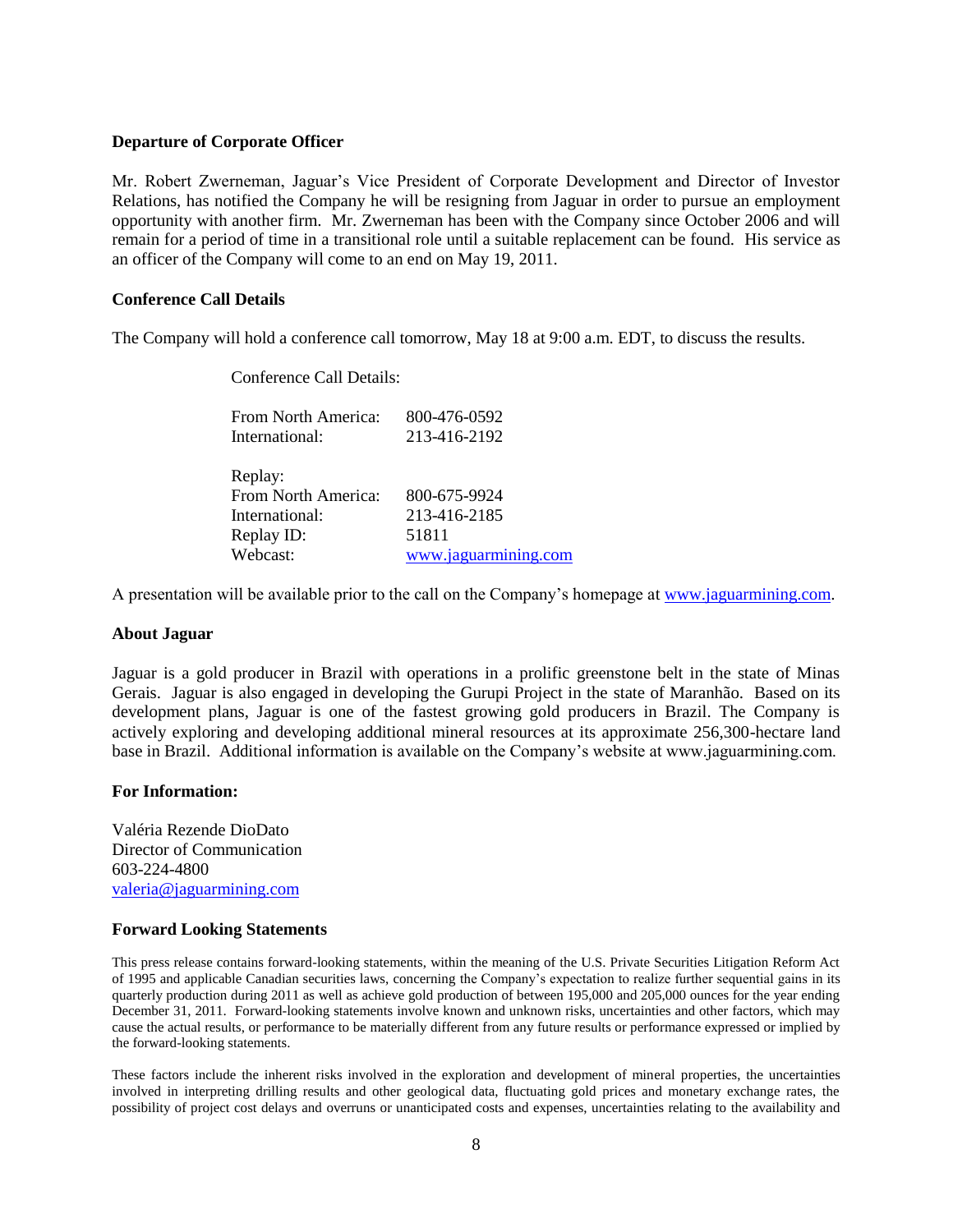### **Departure of Corporate Officer**

Mr. Robert Zwerneman, Jaguar's Vice President of Corporate Development and Director of Investor Relations, has notified the Company he will be resigning from Jaguar in order to pursue an employment opportunity with another firm. Mr. Zwerneman has been with the Company since October 2006 and will remain for a period of time in a transitional role until a suitable replacement can be found. His service as an officer of the Company will come to an end on May 19, 2011.

## **Conference Call Details**

The Company will hold a conference call tomorrow, May 18 at 9:00 a.m. EDT, to discuss the results.

Conference Call Details:

| From North America: | 800-476-0592         |
|---------------------|----------------------|
| International:      | 213-416-2192         |
|                     |                      |
| Replay:             |                      |
| From North America: | 800-675-9924         |
| International:      | 213-416-2185         |
| Replay ID:          | 51811                |
| Webcast:            | www.jaguarmining.com |
|                     |                      |

A presentation will be available prior to the call on the Company's homepage at [www.jaguarmining.com.](http://www.jaguarmining.com/)

### **About Jaguar**

Jaguar is a gold producer in Brazil with operations in a prolific greenstone belt in the state of Minas Gerais. Jaguar is also engaged in developing the Gurupi Project in the state of Maranhão. Based on its development plans, Jaguar is one of the fastest growing gold producers in Brazil. The Company is actively exploring and developing additional mineral resources at its approximate 256,300-hectare land base in Brazil. Additional information is available on the Company's website at www.jaguarmining.com.

### **For Information:**

Valéria Rezende DioDato Director of Communication 603-224-4800 [valeria@jaguarmining.com](mailto:valeria@jaguarmining.com)

### **Forward Looking Statements**

This press release contains forward-looking statements, within the meaning of the U.S. Private Securities Litigation Reform Act of 1995 and applicable Canadian securities laws, concerning the Company's expectation to realize further sequential gains in its quarterly production during 2011 as well as achieve gold production of between 195,000 and 205,000 ounces for the year ending December 31, 2011. Forward-looking statements involve known and unknown risks, uncertainties and other factors, which may cause the actual results, or performance to be materially different from any future results or performance expressed or implied by the forward-looking statements.

These factors include the inherent risks involved in the exploration and development of mineral properties, the uncertainties involved in interpreting drilling results and other geological data, fluctuating gold prices and monetary exchange rates, the possibility of project cost delays and overruns or unanticipated costs and expenses, uncertainties relating to the availability and